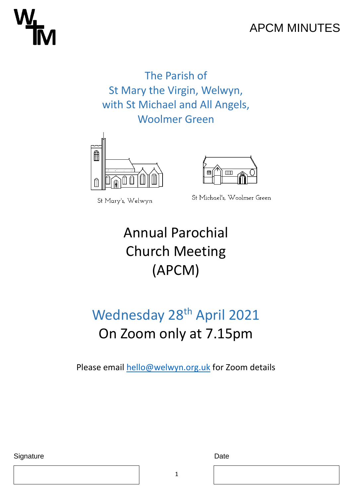## APCM MINUTES

The Parish of St Mary the Virgin, Welwyn, with St Michael and All Angels, Woolmer Green



St Mary's, Welwyn



St Michael's, Woolmer Green

## Annual Parochial Church Meeting (APCM)

## Wednesday 28<sup>th</sup> April 2021 On Zoom only at 7.15pm

Please email [hello@welwyn.org.uk](mailto:hello@welwyn.org.uk) for Zoom details

Signature Date Date Date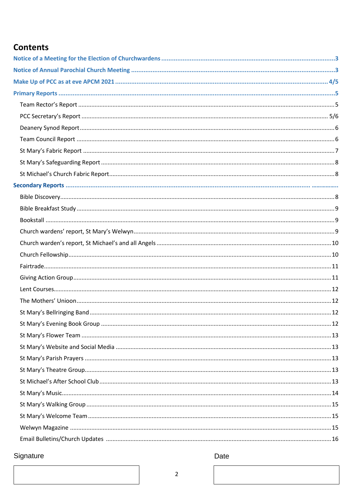#### **Contents**

### Signature

Date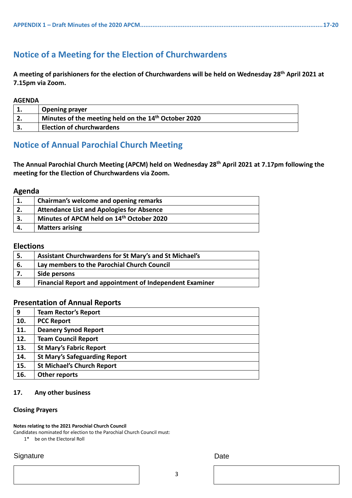#### <span id="page-2-0"></span>**Notice of a Meeting for the Election of Churchwardens**

**A meeting of parishioners for the election of Churchwardens will be held on Wednesday 28th April 2021 at 7.15pm via Zoom.**

#### **AGENDA**

|    | <b>Opening prayer</b>                                            |  |
|----|------------------------------------------------------------------|--|
| Ζ. | Minutes of the meeting held on the 14 <sup>th</sup> October 2020 |  |
|    | <b>Election of churchwardens</b>                                 |  |

#### <span id="page-2-1"></span>**Notice of Annual Parochial Church Meeting**

**The Annual Parochial Church Meeting (APCM) held on Wednesday 28th April 2021 at 7.17pm following the meeting for the Election of Churchwardens via Zoom.**

#### **Agenda**

|    | Chairman's welcome and opening remarks                |
|----|-------------------------------------------------------|
| 2. | <b>Attendance List and Apologies for Absence</b>      |
| 3. | Minutes of APCM held on 14 <sup>th</sup> October 2020 |
| 4. | <b>Matters arising</b>                                |

#### **Elections**

| <sup>1</sup> 5. | Assistant Churchwardens for St Mary's and St Michael's          |
|-----------------|-----------------------------------------------------------------|
| 6.              | Lay members to the Parochial Church Council                     |
|                 | Side persons                                                    |
| -8              | <b>Financial Report and appointment of Independent Examiner</b> |

#### **Presentation of Annual Reports**

| 9   | <b>Team Rector's Report</b>          |
|-----|--------------------------------------|
| 10. | <b>PCC Report</b>                    |
| 11. | <b>Deanery Synod Report</b>          |
| 12. | <b>Team Council Report</b>           |
| 13. | <b>St Mary's Fabric Report</b>       |
| 14. | <b>St Mary's Safeguarding Report</b> |
| 15. | <b>St Michael's Church Report</b>    |
| 16. | Other reports                        |

#### **17. Any other business**

#### <span id="page-2-2"></span>**Closing Prayers**

#### **Notes relating to the 2021 Parochial Church Council**

Candidates nominated for election to the Parochial Church Council must:

1\* be on the Electoral Roll

#### Signature Date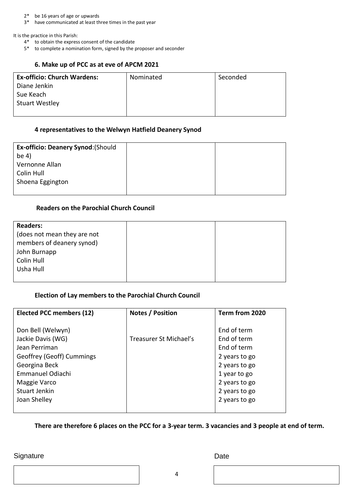2\* be 16 years of age or upwards

3\* have communicated at least three times in the past year

It is the practice in this Parish:

- 4\* to obtain the express consent of the candidate
- <span id="page-3-0"></span>5\* to complete a nomination form, signed by the proposer and seconder

#### **6. Make up of PCC as at eve of APCM 2021**

| <b>Ex-officio: Church Wardens:</b> | Nominated | Seconded |
|------------------------------------|-----------|----------|
| Diane Jenkin                       |           |          |
| Sue Keach                          |           |          |
| <b>Stuart Westley</b>              |           |          |
|                                    |           |          |

#### **4 representatives to the Welwyn Hatfield Deanery Synod**

| <b>Ex-officio: Deanery Synod: (Should</b> |  |
|-------------------------------------------|--|
| be $4)$                                   |  |
| Vernonne Allan                            |  |
| Colin Hull                                |  |
| Shoena Eggington                          |  |
|                                           |  |

#### **Readers on the Parochial Church Council**

| <b>Readers:</b>             |  |
|-----------------------------|--|
| (does not mean they are not |  |
| members of deanery synod)   |  |
| John Burnapp                |  |
| Colin Hull                  |  |
| Usha Hull                   |  |
|                             |  |

#### **Election of Lay members to the Parochial Church Council**

| <b>Elected PCC members (12)</b>                                | Notes / Position       | Term from 2020                                  |
|----------------------------------------------------------------|------------------------|-------------------------------------------------|
| Don Bell (Welwyn)<br>Jackie Davis (WG)<br>Jean Perriman        | Treasurer St Michael's | End of term<br>End of term<br>End of term       |
| Geoffrey (Geoff) Cummings<br>Georgina Beck<br>Emmanuel Odiachi |                        | 2 years to go<br>2 years to go<br>1 year to go  |
| Maggie Varco<br><b>Stuart Jenkin</b><br>Joan Shelley           |                        | 2 years to go<br>2 years to go<br>2 years to go |

**There are therefore 6 places on the PCC for a 3-year term. 3 vacancies and 3 people at end of term.** 

#### Signature Date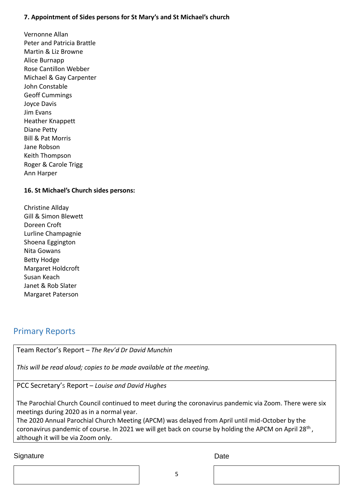#### **7. Appointment of Sides persons for St Mary's and St Michael's church**

Vernonne Allan Peter and Patricia Brattle Martin & Liz Browne Alice Burnapp Rose Cantillon Webber Michael & Gay Carpenter John Constable Geoff Cummings Joyce Davis Jim Evans Heather Knappett Diane Petty Bill & Pat Morris Jane Robson Keith Thompson Roger & Carole Trigg Ann Harper

#### **16. St Michael's Church sides persons:**

Christine Allday Gill & Simon Blewett Doreen Croft Lurline Champagnie Shoena Eggington Nita Gowans Betty Hodge Margaret Holdcroft Susan Keach Janet & Rob Slater Margaret Paterson

#### Primary Reports

<span id="page-4-0"></span>Team Rector's Report – *The Rev'd Dr David Munchin*

*This will be read aloud; copies to be made available at the meeting.*

<span id="page-4-1"></span>PCC Secretary's Report – *Louise and David Hughes*

The Parochial Church Council continued to meet during the coronavirus pandemic via Zoom. There were six meetings during 2020 as in a normal year.

The 2020 Annual Parochial Church Meeting (APCM) was delayed from April until mid-October by the coronavirus pandemic of course. In 2021 we will get back on course by holding the APCM on April 28<sup>th</sup>, although it will be via Zoom only.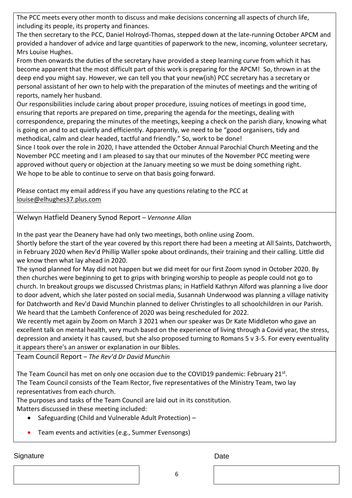The PCC meets every other month to discuss and make decisions concerning all aspects of church life, including its people, its property and finances.

The then secretary to the PCC, Daniel Holroyd-Thomas, stepped down at the late-running October APCM and provided a handover of advice and large quantities of paperwork to the new, incoming, volunteer secretary, Mrs Louise Hughes.

From then onwards the duties of the secretary have provided a steep learning curve from which it has become apparent that the most difficult part of this work is preparing for the APCM! So, thrown in at the deep end you might say. However, we can tell you that your new(ish) PCC secretary has a secretary or personal assistant of her own to help with the preparation of the minutes of meetings and the writing of reports, namely her husband.

Our responsibilities include caring about proper procedure, issuing notices of meetings in good time, ensuring that reports are prepared on time, preparing the agenda for the meetings, dealing with correspondence, preparing the minutes of the meetings, keeping a check on the parish diary, knowing what is going on and to act quietly and efficiently. Apparently, we need to be "good organisers, tidy and methodical, calm and clear headed, tactful and friendly." So, work to be done!

Since I took over the role in 2020, I have attended the October Annual Parochial Church Meeting and the November PCC meeting and I am pleased to say that our minutes of the November PCC meeting were approved without query or objection at the January meeting so we must be doing something right. We hope to be able to continue to serve on that basis going forward.

Please contact my email address if you have any questions relating to the PCC at louise@elhughes37.plus.com

<span id="page-5-0"></span>Welwyn Hatfield Deanery Synod Report – *Vernonne Allan*

In the past year the Deanery have had only two meetings, both online using Zoom.

Shortly before the start of the year covered by this report there had been a meeting at All Saints, Datchworth, in February 2020 when Rev'd Phillip Waller spoke about ordinands, their training and their calling. Little did we know then what lay ahead in 2020.

The synod planned for May did not happen but we did meet for our first Zoom synod in October 2020. By then churches were beginning to get to grips with bringing worship to people as people could not go to church. In breakout groups we discussed Christmas plans; in Hatfield Kathryn Alford was planning a live door to door advent, which she later posted on social media, Susannah Underwood was planning a village nativity for Datchworth and Rev'd David Munchin planned to deliver Christingles to all schoolchildren in our Parish. We heard that the Lambeth Conference of 2020 was being rescheduled for 2022.

We recently met again by Zoom on March 3 2021 when our speaker was Dr Kate Middleton who gave an excellent talk on mental health, very much based on the experience of living through a Covid year, the stress, depression and anxiety it has caused, but she also proposed turning to Romans 5 v 3-5. For every eventuality it appears there's an answer or explanation in our Bibles.

<span id="page-5-1"></span>Team Council Report – *The Rev'd Dr David Munchin*

The Team Council has met on only one occasion due to the COVID19 pandemic: February 21st. The Team Council consists of the Team Rector, five representatives of the Ministry Team, two lay representatives from each church.

The purposes and tasks of the Team Council are laid out in its constitution.

Matters discussed in these meeting included:

- Safeguarding (Child and Vulnerable Adult Protection) –
- Team events and activities (e.g., Summer Evensongs)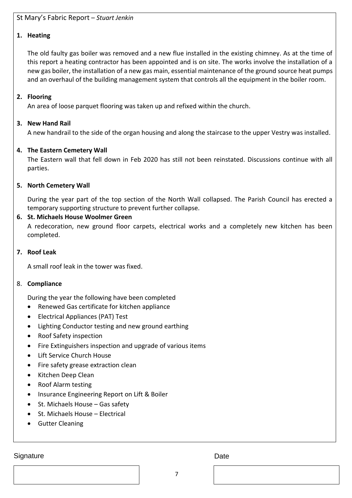#### <span id="page-6-0"></span>St Mary's Fabric Report – *Stuart Jenkin*

#### **1. Heating**

The old faulty gas boiler was removed and a new flue installed in the existing chimney. As at the time of this report a heating contractor has been appointed and is on site. The works involve the installation of a new gas boiler, the installation of a new gas main, essential maintenance of the ground source heat pumps and an overhaul of the building management system that controls all the equipment in the boiler room.

#### **2. Flooring**

An area of loose parquet flooring was taken up and refixed within the church.

#### **3. New Hand Rail**

A new handrail to the side of the organ housing and along the staircase to the upper Vestry was installed.

#### **4. The Eastern Cemetery Wall**

The Eastern wall that fell down in Feb 2020 has still not been reinstated. Discussions continue with all parties.

#### **5. North Cemetery Wall**

During the year part of the top section of the North Wall collapsed. The Parish Council has erected a temporary supporting structure to prevent further collapse.

#### **6. St. Michaels House Woolmer Green**

A redecoration, new ground floor carpets, electrical works and a completely new kitchen has been completed.

#### **7. Roof Leak**

A small roof leak in the tower was fixed.

#### 8. **Compliance**

During the year the following have been completed

- Renewed Gas certificate for kitchen appliance
- Electrical Appliances (PAT) Test
- Lighting Conductor testing and new ground earthing
- Roof Safety inspection
- Fire Extinguishers inspection and upgrade of various items
- Lift Service Church House
- Fire safety grease extraction clean
- Kitchen Deep Clean
- Roof Alarm testing
- Insurance Engineering Report on Lift & Boiler
- St. Michaels House Gas safety
- St. Michaels House Electrical
- Gutter Cleaning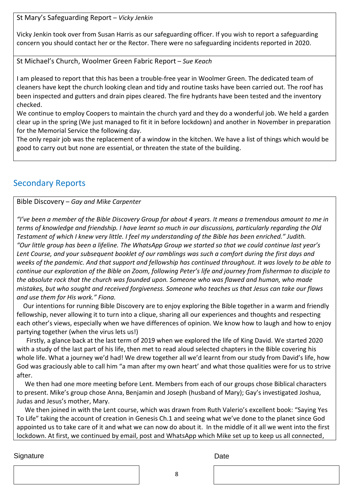<span id="page-7-0"></span>St Mary's Safeguarding Report – *Vicky Jenkin*

Vicky Jenkin took over from Susan Harris as our safeguarding officer. If you wish to report a safeguarding concern you should contact her or the Rector. There were no safeguarding incidents reported in 2020.

<span id="page-7-1"></span>St Michael's Church, Woolmer Green Fabric Report – *Sue Keach*

I am pleased to report that this has been a trouble-free year in Woolmer Green. The dedicated team of cleaners have kept the church looking clean and tidy and routine tasks have been carried out. The roof has been inspected and gutters and drain pipes cleared. The fire hydrants have been tested and the inventory checked.

We continue to employ Coopers to maintain the church yard and they do a wonderful job. We held a garden clear up in the spring (We just managed to fit it in before lockdown) and another in November in preparation for the Memorial Service the following day.

The only repair job was the replacement of a window in the kitchen. We have a list of things which would be good to carry out but none are essential, or threaten the state of the building.

#### <span id="page-7-2"></span>Secondary Reports

#### <span id="page-7-3"></span>Bible Discovery – *Gay and Mike Carpenter*

*"I've been a member of the Bible Discovery Group for about 4 years. It means a tremendous amount to me in terms of knowledge and friendship. I have learnt so much in our discussions, particularly regarding the Old Testament of which I knew very little. I feel my understanding of the Bible has been enriched." Judith. "Our little group has been a lifeline. The WhatsApp Group we started so that we could continue last year's Lent Course, and your subsequent booklet of our ramblings was such a comfort during the first days and weeks of the pandemic. And that support and fellowship has continued throughout. It was lovely to be able to continue our exploration of the Bible on Zoom, following Peter's life and journey from fisherman to disciple to the absolute rock that the church was founded upon. Someone who was flawed and human, who made mistakes, but who sought and received forgiveness. Someone who teaches us that Jesus can take our flaws and use them for His work." Fiona.*

 Our intentions for running Bible Discovery are to enjoy exploring the Bible together in a warm and friendly fellowship, never allowing it to turn into a clique, sharing all our experiences and thoughts and respecting each other's views, especially when we have differences of opinion. We know how to laugh and how to enjoy partying together (when the virus lets us!)

 Firstly, a glance back at the last term of 2019 when we explored the life of King David. We started 2020 with a study of the last part of his life, then met to read aloud selected chapters in the Bible covering his whole life. What a journey we'd had! We drew together all we'd learnt from our study from David's life, how God was graciously able to call him "a man after my own heart' and what those qualities were for us to strive after.

 We then had one more meeting before Lent. Members from each of our groups chose Biblical characters to present. Mike's group chose Anna, Benjamin and Joseph (husband of Mary); Gay's investigated Joshua, Judas and Jesus's mother, Mary.

 We then joined in with the Lent course, which was drawn from Ruth Valerio's excellent book: "Saying Yes To Life" taking the account of creation in Genesis Ch.1 and seeing what we've done to the planet since God appointed us to take care of it and what we can now do about it. In the middle of it all we went into the first lockdown. At first, we continued by email, post and WhatsApp which Mike set up to keep us all connected,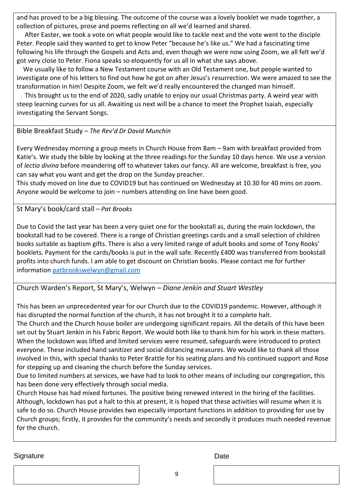and has proved to be a big blessing. The outcome of the course was a lovely booklet we made together, a collection of pictures, prose and poems reflecting on all we'd learned and shared.

 After Easter, we took a vote on what people would like to tackle next and the vote went to the disciple Peter. People said they wanted to get to know Peter "because he's like us." We had a fascinating time following his life through the Gospels and Acts and, even though we were now using Zoom, we all felt we'd got very close to Peter. Fiona speaks so eloquently for us all in what she says above.

 We usually like to follow a New Testament course with an Old Testament one, but people wanted to investigate one of his letters to find out how he got on after Jesus's resurrection. We were amazed to see the transformation in him! Despite Zoom, we felt we'd really encountered the changed man himself.

 This brought us to the end of 2020, sadly unable to enjoy our usual Christmas party. A weird year with steep learning curves for us all. Awaiting us next will be a chance to meet the Prophet Isaiah, especially investigating the Servant Songs.

#### <span id="page-8-0"></span>Bible Breakfast Study – *The Rev'd Dr David Munchin*

Every Wednesday morning a group meets in Church House from 8am – 9am with breakfast provided from Katie's. We study the bible by looking at the three readings for the Sunday 10 days hence. We use a version of *lectio divina* before meandering off to whatever takes our fancy. All are welcome, breakfast is free, you can say what you want and get the drop on the Sunday preacher.

This study moved on line due to COVID19 but has continued on Wednesday at 10.30 for 40 mins on zoom. Anyone would be welcome to join – numbers attending on line have been good.

<span id="page-8-1"></span>St Mary's book/card stall – *Pat Brooks*

Due to Covid the last year has been a very quiet one for the bookstall as, during the main lockdown, the bookstall had to be covered. There is a range of Christian greetings cards and a small selection of children books suitable as baptism gifts. There is also a very limited range of adult books and some of Tony Rooks' booklets. Payment for the cards/books is put in the wall safe. Recently £400 was transferred from bookstall profits into church funds. I am able to get discount on Christian books. Please contact me for further information [patbrookswelwyn@gmail.com](mailto:patbrookswelwyn@gmail.com)

Church Warden's Report, St Mary's, Welwyn – *Diane Jenkin and Stuart Westley*

This has been an unprecedented year for our Church due to the COVID19 pandemic. However, although it has disrupted the normal function of the church, it has not brought it to a complete halt.

The Church and the Church house boiler are undergoing significant repairs. All the details of this have been set out by Stuart Jenkin in his Fabric Report. We would both like to thank him for his work in these matters. When the lockdown was lifted and limited services were resumed, safeguards were introduced to protect everyone. These included hand sanitizer and social distancing measures. We would like to thank all those involved in this, with special thanks to Peter Brattle for his seating plans and his continued support and Rose for stepping up and cleaning the church before the Sunday services.

Due to limited numbers at services, we have had to look to other means of including our congregation, this has been done very effectively through social media.

Church House has had mixed fortunes. The positive being renewed interest in the hiring of the facilities. Although, lockdown has put a halt to this at present, it is hoped that these activities will resume when it is safe to do so. Church House provides two especially important functions in addition to providing for use by Church groups; firstly, it provides for the community's needs and secondly it produces much needed revenue for the church.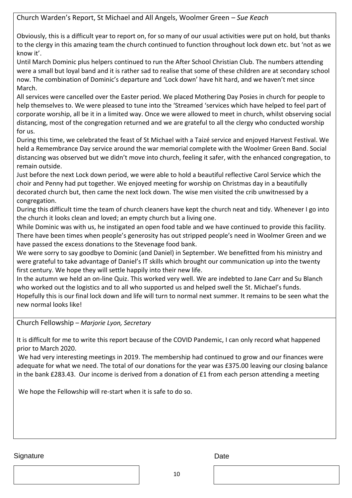Church Warden's Report, St Michael and All Angels, Woolmer Green – *Sue Keach*

Obviously, this is a difficult year to report on, for so many of our usual activities were put on hold, but thanks to the clergy in this amazing team the church continued to function throughout lock down etc. but 'not as we know it'.

Until March Dominic plus helpers continued to run the After School Christian Club. The numbers attending were a small but loyal band and it is rather sad to realise that some of these children are at secondary school now. The combination of Dominic's departure and 'Lock down' have hit hard, and we haven't met since March.

All services were cancelled over the Easter period. We placed Mothering Day Posies in church for people to help themselves to. We were pleased to tune into the 'Streamed 'services which have helped to feel part of corporate worship, all be it in a limited way. Once we were allowed to meet in church, whilst observing social distancing, most of the congregation returned and we are grateful to all the clergy who conducted worship for us.

During this time, we celebrated the feast of St Michael with a Taizé service and enjoyed Harvest Festival. We held a Remembrance Day service around the war memorial complete with the Woolmer Green Band. Social distancing was observed but we didn't move into church, feeling it safer, with the enhanced congregation, to remain outside.

Just before the next Lock down period, we were able to hold a beautiful reflective Carol Service which the choir and Penny had put together. We enjoyed meeting for worship on Christmas day in a beautifully decorated church but, then came the next lock down. The wise men visited the crib unwitnessed by a congregation.

During this difficult time the team of church cleaners have kept the church neat and tidy. Whenever I go into the church it looks clean and loved; an empty church but a living one.

While Dominic was with us, he instigated an open food table and we have continued to provide this facility. There have been times when people's generosity has out stripped people's need in Woolmer Green and we have passed the excess donations to the Stevenage food bank.

We were sorry to say goodbye to Dominic (and Daniel) in September. We benefitted from his ministry and were grateful to take advantage of Daniel's IT skills which brought our communication up into the twenty first century. We hope they will settle happily into their new life.

In the autumn we held an on-line Quiz. This worked very well. We are indebted to Jane Carr and Su Blanch who worked out the logistics and to all who supported us and helped swell the St. Michael's funds. Hopefully this is our final lock down and life will turn to normal next summer. It remains to be seen what the new normal looks like!

<span id="page-9-0"></span>Church Fellowship – *Marjorie Lyon, Secretary*

It is difficult for me to write this report because of the COVID Pandemic, I can only record what happened prior to March 2020.

We had very interesting meetings in 2019. The membership had continued to grow and our finances were adequate for what we need. The total of our donations for the year was £375.00 leaving our closing balance in the bank £283.43. Our income is derived from a donation of £1 from each person attending a meeting

We hope the Fellowship will re-start when it is safe to do so.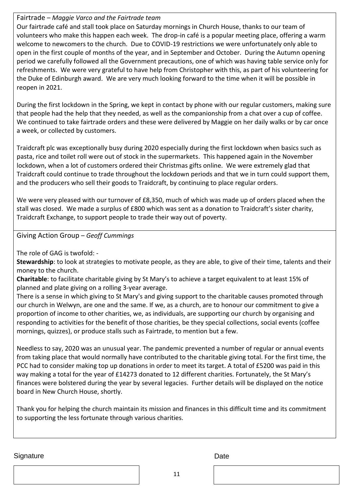#### <span id="page-10-0"></span>Fairtrade – *Maggie Varco and the Fairtrade team*

Our fairtrade café and stall took place on Saturday mornings in Church House, thanks to our team of volunteers who make this happen each week. The drop-in café is a popular meeting place, offering a warm welcome to newcomers to the church. Due to COVID-19 restrictions we were unfortunately only able to open in the first couple of months of the year, and in September and October. During the Autumn opening period we carefully followed all the Government precautions, one of which was having table service only for refreshments. We were very grateful to have help from Christopher with this, as part of his volunteering for the Duke of Edinburgh award. We are very much looking forward to the time when it will be possible in reopen in 2021.

During the first lockdown in the Spring, we kept in contact by phone with our regular customers, making sure that people had the help that they needed, as well as the companionship from a chat over a cup of coffee. We continued to take fairtrade orders and these were delivered by Maggie on her daily walks or by car once a week, or collected by customers.

Traidcraft plc was exceptionally busy during 2020 especially during the first lockdown when basics such as pasta, rice and toilet roll were out of stock in the supermarkets. This happened again in the November lockdown, when a lot of customers ordered their Christmas gifts online. We were extremely glad that Traidcraft could continue to trade throughout the lockdown periods and that we in turn could support them, and the producers who sell their goods to Traidcraft, by continuing to place regular orders.

We were very pleased with our turnover of £8,350, much of which was made up of orders placed when the stall was closed. We made a surplus of £800 which was sent as a donation to Traidcraft's sister charity, Traidcraft Exchange, to support people to trade their way out of poverty.

<span id="page-10-1"></span>Giving Action Group – *Geoff Cummings*

The role of GAG is twofold: -

**Stewardship**: to look at strategies to motivate people, as they are able, to give of their time, talents and their money to the church.

**Charitable**: to facilitate charitable giving by St Mary's to achieve a target equivalent to at least 15% of planned and plate giving on a rolling 3-year average.

There is a sense in which giving to St Mary's and giving support to the charitable causes promoted through our church in Welwyn, are one and the same. If we, as a church, are to honour our commitment to give a proportion of income to other charities, we, as individuals, are supporting our church by organising and responding to activities for the benefit of those charities, be they special collections, social events (coffee mornings, quizzes), or produce stalls such as Fairtrade, to mention but a few.

Needless to say, 2020 was an unusual year. The pandemic prevented a number of regular or annual events from taking place that would normally have contributed to the charitable giving total. For the first time, the PCC had to consider making top up donations in order to meet its target. A total of £5200 was paid in this way making a total for the year of £14273 donated to 12 different charities. Fortunately, the St Mary's finances were bolstered during the year by several legacies. Further details will be displayed on the notice board in New Church House, shortly.

Thank you for helping the church maintain its mission and finances in this difficult time and its commitment to supporting the less fortunate through various charities.

Signature Date **Date** 

11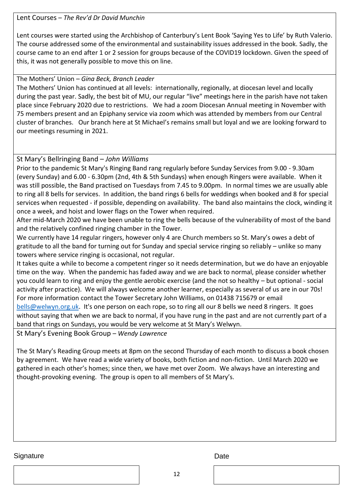#### <span id="page-11-0"></span>Lent Courses – *The Rev'd Dr David Munchin*

Lent courses were started using the Archbishop of Canterbury's Lent Book 'Saying Yes to Life' by Ruth Valerio. The course addressed some of the environmental and sustainability issues addressed in the book. Sadly, the course came to an end after 1 or 2 session for groups because of the COVID19 lockdown. Given the speed of this, it was not generally possible to move this on line.

#### The Mothers' Union – *Gina Beck, Branch Leader*

The Mothers' Union has continued at all levels: internationally, regionally, at diocesan level and locally during the past year. Sadly, the best bit of MU, our regular "live" meetings here in the parish have not taken place since February 2020 due to restrictions. We had a zoom Diocesan Annual meeting in November with 75 members present and an Epiphany service via zoom which was attended by members from our Central cluster of branches. Our branch here at St Michael's remains small but loyal and we are looking forward to our meetings resuming in 2021.

#### <span id="page-11-1"></span>St Mary's Bellringing Band – *John Williams*

Prior to the pandemic St Mary's Ringing Band rang regularly before Sunday Services from 9.00 - 9.30am (every Sunday) and 6.00 - 6.30pm (2nd, 4th & 5th Sundays) when enough Ringers were available. When it was still possible, the Band practised on Tuesdays from 7.45 to 9.00pm. In normal times we are usually able to ring all 8 bells for services. In addition, the band rings 6 bells for weddings when booked and 8 for special services when requested - if possible, depending on availability. The band also maintains the clock, winding it once a week, and hoist and lower flags on the Tower when required.

After mid-March 2020 we have been unable to ring the bells because of the vulnerability of most of the band and the relatively confined ringing chamber in the Tower.

We currently have 14 regular ringers, however only 4 are Church members so St. Mary's owes a debt of gratitude to all the band for turning out for Sunday and special service ringing so reliably – unlike so many towers where service ringing is occasional, not regular.

It takes quite a while to become a competent ringer so it needs determination, but we do have an enjoyable time on the way. When the pandemic has faded away and we are back to normal, please consider whether you could learn to ring and enjoy the gentle aerobic exercise (and the not so healthy – but optional - social activity after practice). We will always welcome another learner, especially as several of us are in our 70s! For more information contact the Tower Secretary John Williams, on 01438 715679 or email

[bells@welwyn.org.uk.](mailto:bells@welwyn.org.uk) It's one person on each rope, so to ring all our 8 bells we need 8 ringers. It goes without saying that when we are back to normal, if you have rung in the past and are not currently part of a band that rings on Sundays, you would be very welcome at St Mary's Welwyn.

<span id="page-11-2"></span>St Mary's Evening Book Group – *Wendy Lawrence* 

The St Mary's Reading Group meets at 8pm on the second Thursday of each month to discuss a book chosen by agreement. We have read a wide variety of books, both fiction and non-fiction. Until March 2020 we gathered in each other's homes; since then, we have met over Zoom. We always have an interesting and thought-provoking evening. The group is open to all members of St Mary's.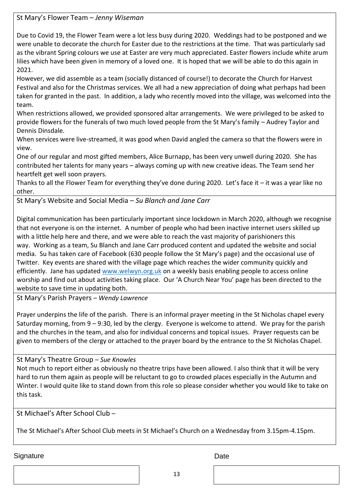<span id="page-12-0"></span>St Mary's Flower Team – *Jenny Wiseman*

Due to Covid 19, the Flower Team were a lot less busy during 2020. Weddings had to be postponed and we were unable to decorate the church for Easter due to the restrictions at the time. That was particularly sad as the vibrant Spring colours we use at Easter are very much appreciated. Easter flowers include white arum lilies which have been given in memory of a loved one. It is hoped that we will be able to do this again in 2021.

However, we did assemble as a team (socially distanced of course!) to decorate the Church for Harvest Festival and also for the Christmas services. We all had a new appreciation of doing what perhaps had been taken for granted in the past. In addition, a lady who recently moved into the village, was welcomed into the team.

When restrictions allowed, we provided sponsored altar arrangements. We were privileged to be asked to provide flowers for the funerals of two much loved people from the St Mary's family – Audrey Taylor and Dennis Dinsdale.

When services were live-streamed, it was good when David angled the camera so that the flowers were in view.

One of our regular and most gifted members, Alice Burnapp, has been very unwell during 2020. She has contributed her talents for many years – always coming up with new creative ideas. The Team send her heartfelt get well soon prayers.

Thanks to all the Flower Team for everything they've done during 2020. Let's face it – it was a year like no other.

St Mary's Website and Social Media – *Su Blanch and Jane Carr*

Digital communication has been particularly important since lockdown in March 2020, although we recognise that not everyone is on the internet. A number of people who had been inactive internet users skilled up with a little help here and there, and we were able to reach the vast majority of parishioners this way. Working as a team, Su Blanch and Jane Carr produced content and updated the website and social media. Su has taken care of Facebook (630 people follow the St Mary's page) and the occasional use of Twitter. Key events are shared with the village page which reaches the wider community quickly and efficiently. Jane has updated [www.welwyn.org.uk](http://www.welwyn.org.uk/) on a weekly basis enabling people to access online worship and find out about activities taking place. Our 'A Church Near You' page has been directed to the website to save time in updating both.

<span id="page-12-1"></span>St Mary's Parish Prayers – *Wendy Lawrence*

Prayer underpins the life of the parish. There is an informal prayer meeting in the St Nicholas chapel every Saturday morning, from 9 – 9:30, led by the clergy. Everyone is welcome to attend. We pray for the parish and the churches in the team, and also for individual concerns and topical issues. Prayer requests can be given to members of the clergy or attached to the prayer board by the entrance to the St Nicholas Chapel.

#### <span id="page-12-2"></span>St Mary's Theatre Group – *Sue Knowles*

Not much to report either as obviously no theatre trips have been allowed. I also think that it will be very hard to run them again as people will be reluctant to go to crowded places especially in the Autumn and Winter. I would quite like to stand down from this role so please consider whether you would like to take on this task.

<span id="page-12-3"></span>St Michael's After School Club –

The St Michael's After School Club meets in St Michael's Church on a Wednesday from 3.15pm-4.15pm.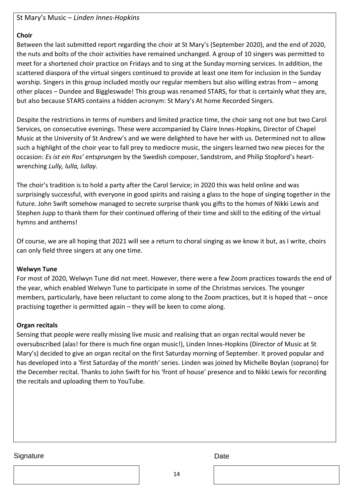<span id="page-13-0"></span>St Mary's Music – *Linden Innes-Hopkins*

#### **Choir**

Between the last submitted report regarding the choir at St Mary's (September 2020), and the end of 2020, the nuts and bolts of the choir activities have remained unchanged. A group of 10 singers was permitted to meet for a shortened choir practice on Fridays and to sing at the Sunday morning services. In addition, the scattered diaspora of the virtual singers continued to provide at least one item for inclusion in the Sunday worship. Singers in this group included mostly our regular members but also willing extras from – among other places – Dundee and Biggleswade! This group was renamed STARS, for that is certainly what they are, but also because STARS contains a hidden acronym: St Mary's At home Recorded Singers.

Despite the restrictions in terms of numbers and limited practice time, the choir sang not one but two Carol Services, on consecutive evenings. These were accompanied by Claire Innes-Hopkins, Director of Chapel Music at the University of St Andrew's and we were delighted to have her with us. Determined not to allow such a highlight of the choir year to fall prey to mediocre music, the singers learned two new pieces for the occasion: *Es ist ein Ros' entsprungen* by the Swedish composer, Sandstrom, and Philip Stopford's heartwrenching *Lully, lulla, lullay.* 

The choir's tradition is to hold a party after the Carol Service; in 2020 this was held online and was surprisingly successful, with everyone in good spirits and raising a glass to the hope of singing together in the future. John Swift somehow managed to secrete surprise thank you gifts to the homes of Nikki Lewis and Stephen Jupp to thank them for their continued offering of their time and skill to the editing of the virtual hymns and anthems!

Of course, we are all hoping that 2021 will see a return to choral singing as we know it but, as I write, choirs can only field three singers at any one time.

#### **Welwyn Tune**

For most of 2020, Welwyn Tune did not meet. However, there were a few Zoom practices towards the end of the year, which enabled Welwyn Tune to participate in some of the Christmas services. The younger members, particularly, have been reluctant to come along to the Zoom practices, but it is hoped that – once practising together is permitted again – they will be keen to come along.

#### **Organ recitals**

Sensing that people were really missing live music and realising that an organ recital would never be oversubscribed (alas! for there is much fine organ music!), Linden Innes-Hopkins (Director of Music at St Mary's) decided to give an organ recital on the first Saturday morning of September. It proved popular and has developed into a 'first Saturday of the month' series. Linden was joined by Michelle Boylan (soprano) for the December recital. Thanks to John Swift for his 'front of house' presence and to Nikki Lewis for recording the recitals and uploading them to YouTube.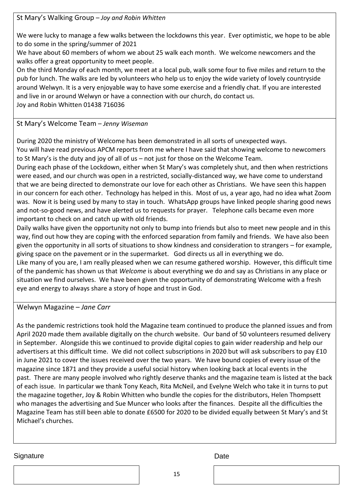<span id="page-14-0"></span>St Mary's Walking Group – *Joy and Robin Whitten*

We were lucky to manage a few walks between the lockdowns this year. Ever optimistic, we hope to be able to do some in the spring/summer of 2021

We have about 60 members of whom we about 25 walk each month. We welcome newcomers and the walks offer a great opportunity to meet people.

On the third Monday of each month, we meet at a local pub, walk some four to five miles and return to the pub for lunch. The walks are led by volunteers who help us to enjoy the wide variety of lovely countryside around Welwyn. It is a very enjoyable way to have some exercise and a friendly chat. If you are interested and live in or around Welwyn or have a connection with our church, do contact us. Joy and Robin Whitten 01438 716036

<span id="page-14-1"></span>St Mary's Welcome Team – *Jenny Wiseman*

During 2020 the ministry of Welcome has been demonstrated in all sorts of unexpected ways.

You will have read previous APCM reports from me where I have said that showing welcome to newcomers to St Mary's is the duty and joy of all of us – not just for those on the Welcome Team.

During each phase of the Lockdown, either when St Mary's was completely shut, and then when restrictions were eased, and our church was open in a restricted, socially-distanced way, we have come to understand that we are being directed to demonstrate our love for each other as Christians. We have seen this happen in our concern for each other. Technology has helped in this. Most of us, a year ago, had no idea what Zoom was. Now it is being used by many to stay in touch. WhatsApp groups have linked people sharing good news and not-so-good news, and have alerted us to requests for prayer. Telephone calls became even more important to check on and catch up with old friends.

Daily walks have given the opportunity not only to bump into friends but also to meet new people and in this way, find out how they are coping with the enforced separation from family and friends. We have also been given the opportunity in all sorts of situations to show kindness and consideration to strangers – for example, giving space on the pavement or in the supermarket. God directs us all in everything we do.

Like many of you are, I am really pleased when we can resume gathered worship. However, this difficult time of the pandemic has shown us that *Welcome* is about everything we do and say as Christians in any place or situation we find ourselves. We have been given the opportunity of demonstrating Welcome with a fresh eye and energy to always share a story of hope and trust in God.

Welwyn Magazine – *Jane Carr*

As the pandemic restrictions took hold the Magazine team continued to produce the planned issues and from April 2020 made them available digitally on the church website. Our band of 50 volunteers resumed delivery in September. Alongside this we continued to provide digital copies to gain wider readership and help our advertisers at this difficult time. We did not collect subscriptions in 2020 but will ask subscribers to pay £10 in June 2021 to cover the issues received over the two years. We have bound copies of every issue of the magazine since 1871 and they provide a useful social history when looking back at local events in the past. There are many people involved who rightly deserve thanks and the magazine team is listed at the back of each issue. In particular we thank Tony Keach, Rita McNeil, and Evelyne Welch who take it in turns to put the magazine together, Joy & Robin Whitten who bundle the copies for the distributors, Helen Thompsett who manages the advertising and Sue Muncer who looks after the finances. Despite all the difficulties the Magazine Team has still been able to donate £6500 for 2020 to be divided equally between St Mary's and St Michael's churches.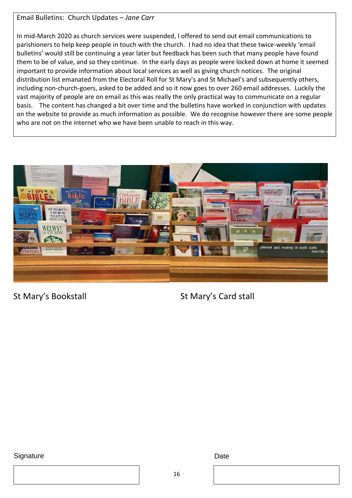#### Email Bulletins: Church Updates – *Jane Carr*

In mid-March 2020 as church services were suspended, I offered to send out email communications to parishioners to help keep people in touch with the church. I had no idea that these twice-weekly 'email bulletins' would still be continuing a year later but feedback has been such that many people have found them to be of value, and so they continue. In the early days as people were locked down at home it seemed important to provide information about local services as well as giving church notices. The original distribution list emanated from the Electoral Roll for St Mary's and St Michael's and subsequently others, including non-church-goers, asked to be added and so it now goes to over 260 email addresses. Luckily the vast majority of people are on email as this was really the only practical way to communicate on a regular basis. The content has changed a bit over time and the bulletins have worked in conjunction with updates on the website to provide as much information as possible. We do recognise however there are some people who are not on the internet who we have been unable to reach in this way.



St Mary's Bookstall St Mary's Card stall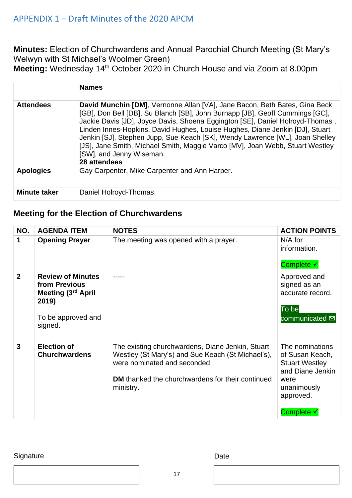#### <span id="page-16-0"></span>APPENDIX 1 – Draft Minutes of the 2020 APCM

**Minutes:** Election of Churchwardens and Annual Parochial Church Meeting (St Mary's Welwyn with St Michael's Woolmer Green)

**Meeting:** Wednesday 14th October 2020 in Church House and via Zoom at 8.00pm

|                     | <b>Names</b>                                                                                                                                                                                                                                                                                                                                                                                                                                                                                                                             |
|---------------------|------------------------------------------------------------------------------------------------------------------------------------------------------------------------------------------------------------------------------------------------------------------------------------------------------------------------------------------------------------------------------------------------------------------------------------------------------------------------------------------------------------------------------------------|
| <b>Attendees</b>    | David Munchin [DM], Vernonne Allan [VA], Jane Bacon, Beth Bates, Gina Beck<br>[GB], Don Bell [DB], Su Blanch [SB], John Burnapp [JB], Geoff Cummings [GC],<br>Jackie Davis [JD], Joyce Davis, Shoena Eggington [SE], Daniel Holroyd-Thomas,<br>Linden Innes-Hopkins, David Hughes, Louise Hughes, Diane Jenkin [DJ], Stuart<br>Jenkin [SJ], Stephen Jupp, Sue Keach [SK], Wendy Lawrence [WL], Joan Shelley<br>[JS], Jane Smith, Michael Smith, Maggie Varco [MV], Joan Webb, Stuart Westley<br>[SW], and Jenny Wiseman.<br>28 attendees |
| <b>Apologies</b>    | Gay Carpenter, Mike Carpenter and Ann Harper.                                                                                                                                                                                                                                                                                                                                                                                                                                                                                            |
| <b>Minute taker</b> | Daniel Holroyd-Thomas.                                                                                                                                                                                                                                                                                                                                                                                                                                                                                                                   |

#### **Meeting for the Election of Churchwardens**

| NO.            | <b>AGENDA ITEM</b>                                                                                        | <b>NOTES</b>                                                                                                                                                                                                  | <b>ACTION POINTS</b>                                                                                                              |
|----------------|-----------------------------------------------------------------------------------------------------------|---------------------------------------------------------------------------------------------------------------------------------------------------------------------------------------------------------------|-----------------------------------------------------------------------------------------------------------------------------------|
| 1              | <b>Opening Prayer</b>                                                                                     | The meeting was opened with a prayer.                                                                                                                                                                         | $N/A$ for<br>information.<br>Complete √                                                                                           |
| $\overline{2}$ | <b>Review of Minutes</b><br>from Previous<br>Meeting (3rd April<br>2019)<br>To be approved and<br>signed. |                                                                                                                                                                                                               | Approved and<br>signed as an<br>accurate record.<br>To be<br>communicated <b>⊠</b>                                                |
| $\mathbf{3}$   | <b>Election of</b><br><b>Churchwardens</b>                                                                | The existing churchwardens, Diane Jenkin, Stuart<br>Westley (St Mary's) and Sue Keach (St Michael's),<br>were nominated and seconded.<br><b>DM</b> thanked the churchwardens for their continued<br>ministry. | The nominations<br>of Susan Keach,<br><b>Stuart Westley</b><br>and Diane Jenkin<br>were<br>unanimously<br>approved.<br>Complete √ |

#### Signature Date

17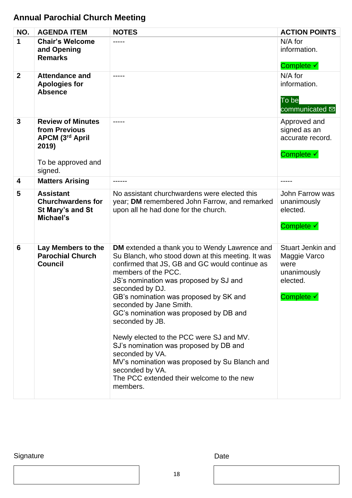### **Annual Parochial Church Meeting**

| NO.            | <b>AGENDA ITEM</b>                                                                                     | <b>NOTES</b>                                                                                                                                                                                                                                                                                                                                                                                                                                                                                                                                                                                                            | <b>ACTION POINTS</b>                                                               |
|----------------|--------------------------------------------------------------------------------------------------------|-------------------------------------------------------------------------------------------------------------------------------------------------------------------------------------------------------------------------------------------------------------------------------------------------------------------------------------------------------------------------------------------------------------------------------------------------------------------------------------------------------------------------------------------------------------------------------------------------------------------------|------------------------------------------------------------------------------------|
| 1              | <b>Chair's Welcome</b><br>and Opening<br><b>Remarks</b>                                                |                                                                                                                                                                                                                                                                                                                                                                                                                                                                                                                                                                                                                         | $N/A$ for<br>information.<br>Complete √                                            |
| $\overline{2}$ | <b>Attendance and</b><br><b>Apologies for</b><br><b>Absence</b>                                        |                                                                                                                                                                                                                                                                                                                                                                                                                                                                                                                                                                                                                         | N/A for<br>information.<br>To be<br>communicated <b>⊠</b>                          |
| $\mathbf{3}$   | <b>Review of Minutes</b><br>from Previous<br>APCM (3rd April<br>2019)<br>To be approved and<br>signed. | -----                                                                                                                                                                                                                                                                                                                                                                                                                                                                                                                                                                                                                   | Approved and<br>signed as an<br>accurate record.<br>Complete √                     |
| 4              | <b>Matters Arising</b>                                                                                 |                                                                                                                                                                                                                                                                                                                                                                                                                                                                                                                                                                                                                         |                                                                                    |
| 5              | <b>Assistant</b><br><b>Churchwardens for</b><br>St Mary's and St<br>Michael's                          | No assistant churchwardens were elected this<br>year; DM remembered John Farrow, and remarked<br>upon all he had done for the church.                                                                                                                                                                                                                                                                                                                                                                                                                                                                                   | John Farrow was<br>unanimously<br>elected.<br>Complete √                           |
| 6              | Lay Members to the<br><b>Parochial Church</b><br><b>Council</b>                                        | <b>DM</b> extended a thank you to Wendy Lawrence and<br>Su Blanch, who stood down at this meeting. It was<br>confirmed that JS, GB and GC would continue as<br>members of the PCC.<br>JS's nomination was proposed by SJ and<br>seconded by DJ.<br>GB's nomination was proposed by SK and<br>seconded by Jane Smith.<br>GC's nomination was proposed by DB and<br>seconded by JB.<br>Newly elected to the PCC were SJ and MV.<br>SJ's nomination was proposed by DB and<br>seconded by VA.<br>MV's nomination was proposed by Su Blanch and<br>seconded by VA.<br>The PCC extended their welcome to the new<br>members. | Stuart Jenkin and<br>Maggie Varco<br>were<br>unanimously<br>elected.<br>Complete √ |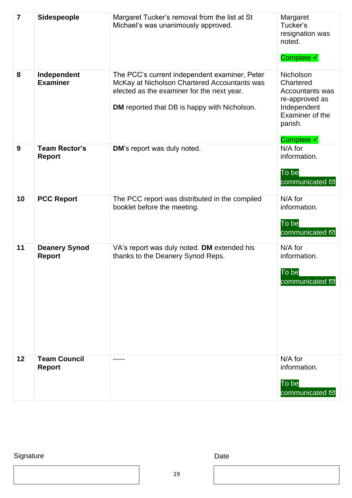| $\overline{7}$ | Sidespeople                           | Margaret Tucker's removal from the list at St<br>Michael's was unanimously approved.                                                                                                               | Margaret<br>Tucker's<br>resignation was<br>noted.<br>Complete √                                                               |
|----------------|---------------------------------------|----------------------------------------------------------------------------------------------------------------------------------------------------------------------------------------------------|-------------------------------------------------------------------------------------------------------------------------------|
| 8              | Independent<br><b>Examiner</b>        | The PCC's current independent examiner, Peter<br>McKay at Nicholson Chartered Accountants was<br>elected as the examiner for the next year.<br><b>DM</b> reported that DB is happy with Nicholson. | Nicholson<br>Chartered<br><b>Accountants was</b><br>re-approved as<br>Independent<br>Examiner of the<br>parish.<br>Complete √ |
| 9              | <b>Team Rector's</b><br><b>Report</b> | DM's report was duly noted.                                                                                                                                                                        | N/A for<br>information.<br>To be<br>communicated <b>⊠</b>                                                                     |
| 10             | <b>PCC Report</b>                     | The PCC report was distributed in the compiled<br>booklet before the meeting.                                                                                                                      | $N/A$ for<br>information.<br>To be<br>communicated <b>⊠</b>                                                                   |
| 11             | <b>Deanery Synod</b><br><b>Report</b> | VA's report was duly noted. DM extended his<br>thanks to the Deanery Synod Reps.                                                                                                                   | $N/A$ for<br>information.<br>To be<br>communicated <b>⊠</b>                                                                   |
| 12             | <b>Team Council</b><br><b>Report</b>  |                                                                                                                                                                                                    | N/A for<br>information.<br>To be<br>communicated <b>⊠</b>                                                                     |

Signature Date Date

19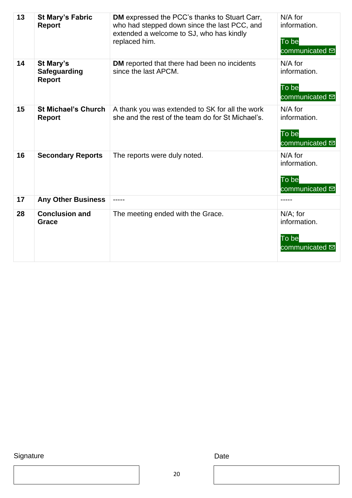| 13 | <b>St Mary's Fabric</b><br><b>Report</b>                 | DM expressed the PCC's thanks to Stuart Carr,<br>who had stepped down since the last PCC, and<br>extended a welcome to SJ, who has kindly<br>replaced him. | $N/A$ for<br>information.<br>To be<br>communicated <b>⊠</b>         |
|----|----------------------------------------------------------|------------------------------------------------------------------------------------------------------------------------------------------------------------|---------------------------------------------------------------------|
| 14 | <b>St Mary's</b><br><b>Safeguarding</b><br><b>Report</b> | DM reported that there had been no incidents<br>since the last APCM.                                                                                       | $N/A$ for<br>information.<br>To be<br>communicated $\overline{\Xi}$ |
| 15 | <b>St Michael's Church</b><br><b>Report</b>              | A thank you was extended to SK for all the work<br>she and the rest of the team do for St Michael's.                                                       | $N/A$ for<br>information.<br>To be<br>communicated <b>Ø</b>         |
| 16 | <b>Secondary Reports</b>                                 | The reports were duly noted.                                                                                                                               | $N/A$ for<br>information.<br>To be<br>communicated <b>⊠</b>         |
| 17 | <b>Any Other Business</b>                                |                                                                                                                                                            |                                                                     |
| 28 | <b>Conclusion and</b><br>Grace                           | The meeting ended with the Grace.                                                                                                                          | $N/A$ ; for<br>information.<br>To be<br>communicated <b>⊠</b>       |

Signature Date